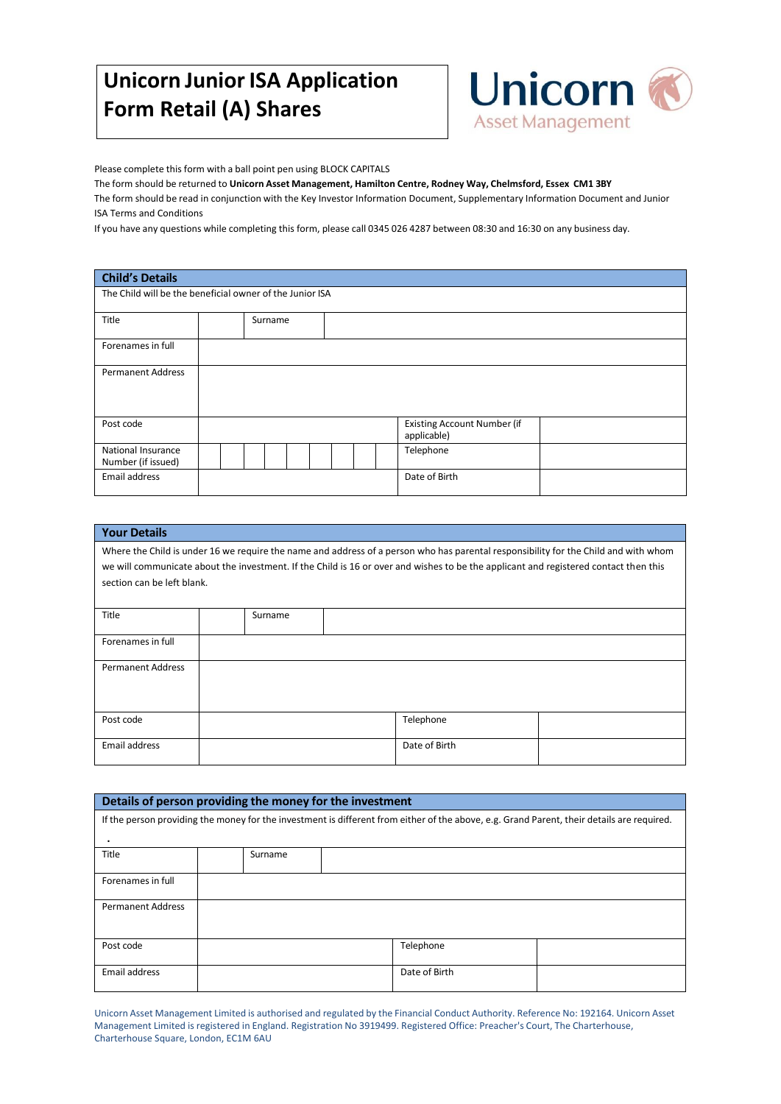# **Unicorn Junior ISA Application Form Retail (A) Shares**



Please complete this form with a ball point pen using BLOCK CAPITALS

The form should be returned to **Unicorn Asset Management, Hamilton Centre, Rodney Way, Chelmsford, Essex CM1 3BY**

The form should be read in conjunction with the Key Investor Information Document, Supplementary Information Document and Junior ISA Terms and Conditions

If you have any questions while completing this form, please call 0345 026 4287 between 08:30 and 16:30 on any business day.

## **Child's Details**

| The Child will be the beneficial owner of the Junior ISA |  |         |  |  |  |  |                                                   |  |
|----------------------------------------------------------|--|---------|--|--|--|--|---------------------------------------------------|--|
| Title                                                    |  | Surname |  |  |  |  |                                                   |  |
| Forenames in full                                        |  |         |  |  |  |  |                                                   |  |
| <b>Permanent Address</b>                                 |  |         |  |  |  |  |                                                   |  |
| Post code                                                |  |         |  |  |  |  | <b>Existing Account Number (if</b><br>applicable) |  |
| National Insurance<br>Number (if issued)                 |  |         |  |  |  |  | Telephone                                         |  |
| Email address                                            |  |         |  |  |  |  | Date of Birth                                     |  |

| <b>Your Details</b>                                                                                                                                                                                                                                                                                       |         |  |               |  |  |  |  |
|-----------------------------------------------------------------------------------------------------------------------------------------------------------------------------------------------------------------------------------------------------------------------------------------------------------|---------|--|---------------|--|--|--|--|
| Where the Child is under 16 we require the name and address of a person who has parental responsibility for the Child and with whom<br>we will communicate about the investment. If the Child is 16 or over and wishes to be the applicant and registered contact then this<br>section can be left blank. |         |  |               |  |  |  |  |
| Title                                                                                                                                                                                                                                                                                                     | Surname |  |               |  |  |  |  |
| Forenames in full                                                                                                                                                                                                                                                                                         |         |  |               |  |  |  |  |
| <b>Permanent Address</b>                                                                                                                                                                                                                                                                                  |         |  |               |  |  |  |  |
| Post code                                                                                                                                                                                                                                                                                                 |         |  | Telephone     |  |  |  |  |
| Email address                                                                                                                                                                                                                                                                                             |         |  | Date of Birth |  |  |  |  |

| Details of person providing the money for the investment                                                                                   |         |               |  |  |  |  |  |
|--------------------------------------------------------------------------------------------------------------------------------------------|---------|---------------|--|--|--|--|--|
| If the person providing the money for the investment is different from either of the above, e.g. Grand Parent, their details are required. |         |               |  |  |  |  |  |
|                                                                                                                                            |         |               |  |  |  |  |  |
| Title                                                                                                                                      | Surname |               |  |  |  |  |  |
| Forenames in full                                                                                                                          |         |               |  |  |  |  |  |
|                                                                                                                                            |         |               |  |  |  |  |  |
| <b>Permanent Address</b>                                                                                                                   |         |               |  |  |  |  |  |
|                                                                                                                                            |         |               |  |  |  |  |  |
| Post code                                                                                                                                  |         | Telephone     |  |  |  |  |  |
|                                                                                                                                            |         |               |  |  |  |  |  |
| Email address                                                                                                                              |         | Date of Birth |  |  |  |  |  |
|                                                                                                                                            |         |               |  |  |  |  |  |

Unicorn Asset Management Limited is authorised and regulated by the Financial Conduct Authority. Reference No: 192164. Unicorn Asset Management Limited is registered in England. Registration No 3919499. Registered Office: Preacher's Court, The Charterhouse, Charterhouse Square, London, EC1M 6AU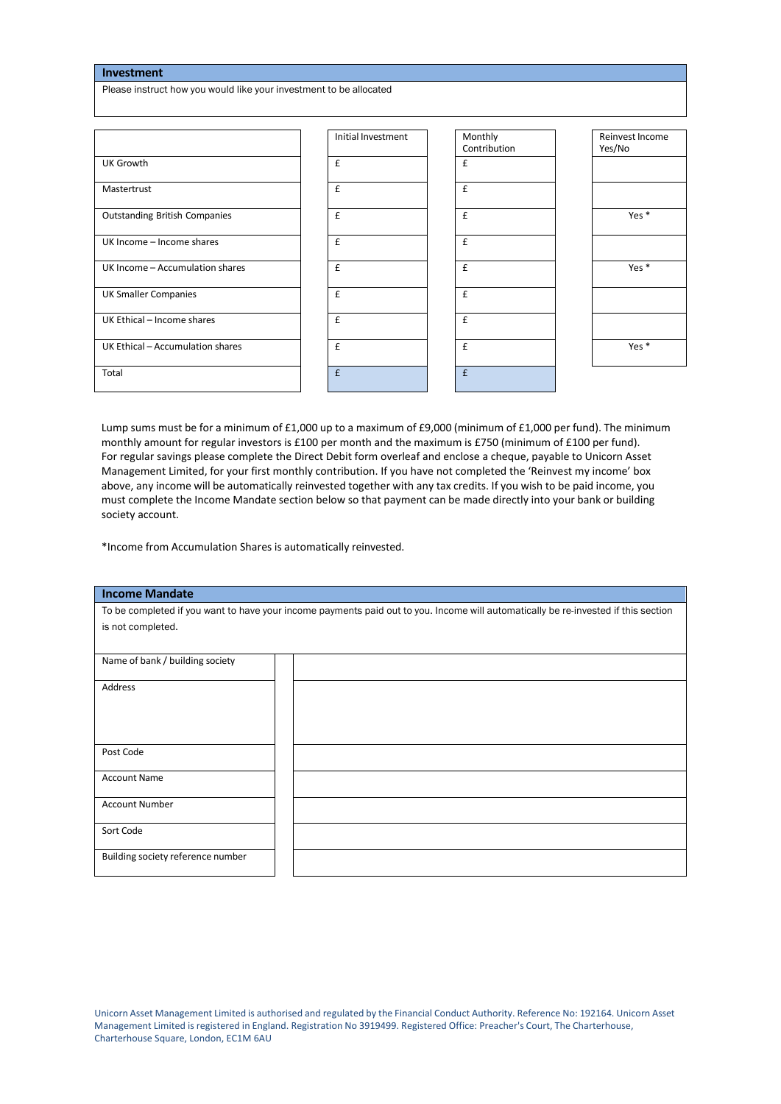| Investment                                                         |                    |              |                  |
|--------------------------------------------------------------------|--------------------|--------------|------------------|
| Please instruct how you would like your investment to be allocated |                    |              |                  |
|                                                                    |                    |              |                  |
|                                                                    |                    |              |                  |
|                                                                    | Initial Investment | Monthly      | Reinvest Income  |
|                                                                    |                    | Contribution | Yes/No           |
| <b>UK Growth</b>                                                   | $\mathbf{f}$       | £            |                  |
| Mastertrust                                                        | £                  | $\epsilon$   |                  |
| <b>Outstanding British Companies</b>                               | $\epsilon$         | $\epsilon$   | Yes *            |
| UK Income - Income shares                                          | $\epsilon$         | $\mathbf{f}$ |                  |
| UK Income - Accumulation shares                                    | $\mathbf{f}$       | $\epsilon$   | Yes <sup>*</sup> |
| <b>UK Smaller Companies</b>                                        | £                  | $\mathbf f$  |                  |
| UK Ethical - Income shares                                         | $\epsilon$         | $\epsilon$   |                  |
| UK Ethical - Accumulation shares                                   | $\epsilon$         | $\epsilon$   | Yes *            |
| Total                                                              | f                  | f            |                  |

Lump sums must be for a minimum of £1,000 up to a maximum of £9,000 (minimum of £1,000 per fund). The minimum monthly amount for regular investors is £100 per month and the maximum is £750 (minimum of £100 per fund). For regular savings please complete the Direct Debit form overleaf and enclose a cheque, payable to Unicorn Asset Management Limited, for your first monthly contribution. If you have not completed the 'Reinvest my income' box above, any income will be automatically reinvested together with any tax credits. If you wish to be paid income, you must complete the Income Mandate section below so that payment can be made directly into your bank or building society account.

\*Income from Accumulation Shares is automatically reinvested.

#### **Income Mandate**

To be completed if you want to have your income payments paid out to you. Income will automatically be re-invested if this section is not completed.

| Name of bank / building society   |  |
|-----------------------------------|--|
| Address                           |  |
|                                   |  |
|                                   |  |
| Post Code                         |  |
| <b>Account Name</b>               |  |
| <b>Account Number</b>             |  |
| Sort Code                         |  |
| Building society reference number |  |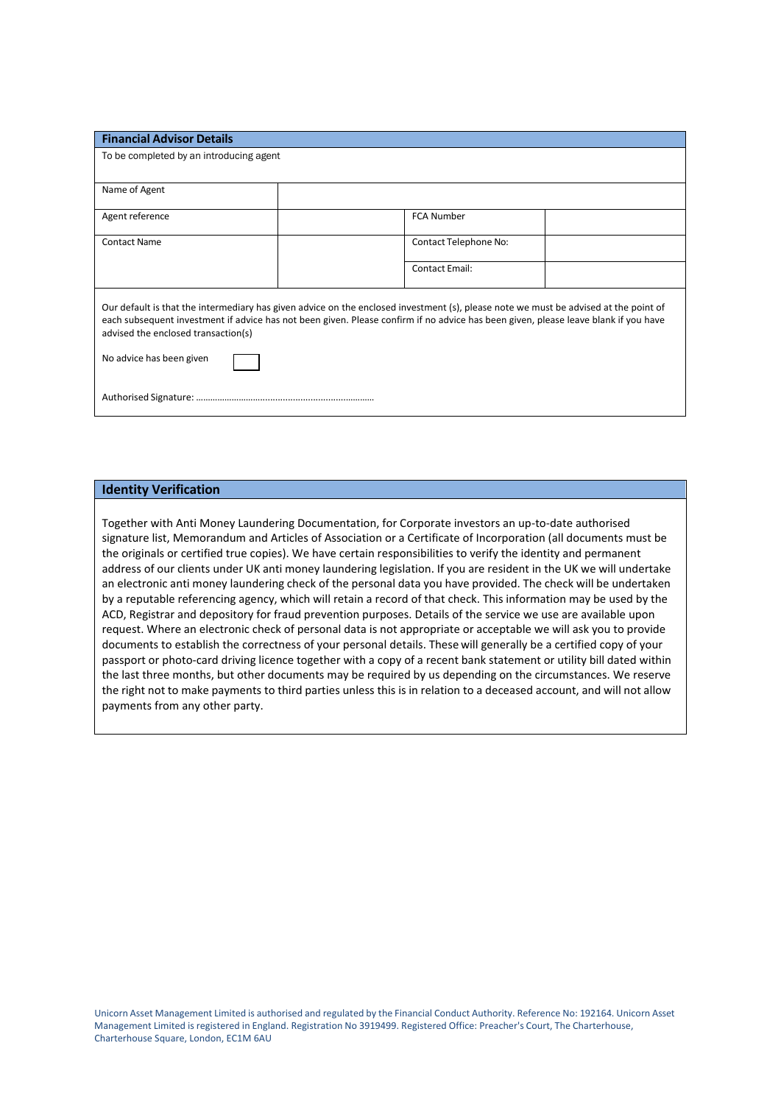| <b>Financial Advisor Details</b>                                                                                                                                                                                                                                                                                   |                       |  |
|--------------------------------------------------------------------------------------------------------------------------------------------------------------------------------------------------------------------------------------------------------------------------------------------------------------------|-----------------------|--|
| To be completed by an introducing agent                                                                                                                                                                                                                                                                            |                       |  |
| Name of Agent                                                                                                                                                                                                                                                                                                      |                       |  |
| Agent reference                                                                                                                                                                                                                                                                                                    | <b>FCA Number</b>     |  |
| <b>Contact Name</b>                                                                                                                                                                                                                                                                                                | Contact Telephone No: |  |
|                                                                                                                                                                                                                                                                                                                    | <b>Contact Email:</b> |  |
| Our default is that the intermediary has given advice on the enclosed investment (s), please note we must be advised at the point of<br>each subsequent investment if advice has not been given. Please confirm if no advice has been given, please leave blank if you have<br>advised the enclosed transaction(s) |                       |  |
| No advice has been given                                                                                                                                                                                                                                                                                           |                       |  |
|                                                                                                                                                                                                                                                                                                                    |                       |  |

#### **Identity Verification**

Together with Anti Money Laundering Documentation, for Corporate investors an up-to-date authorised signature list, Memorandum and Articles of Association or a Certificate of Incorporation (all documents must be the originals or certified true copies). We have certain responsibilities to verify the identity and permanent address of our clients under UK anti money laundering legislation. If you are resident in the UK we will undertake an electronic anti money laundering check of the personal data you have provided. The check will be undertaken by a reputable referencing agency, which will retain a record of that check. This information may be used by the ACD, Registrar and depository for fraud prevention purposes. Details of the service we use are available upon request. Where an electronic check of personal data is not appropriate or acceptable we will ask you to provide documents to establish the correctness of your personal details. These will generally be a certified copy of your passport or photo-card driving licence together with a copy of a recent bank statement or utility bill dated within the last three months, but other documents may be required by us depending on the circumstances. We reserve the right not to make payments to third parties unless this is in relation to a deceased account, and will not allow payments from any other party.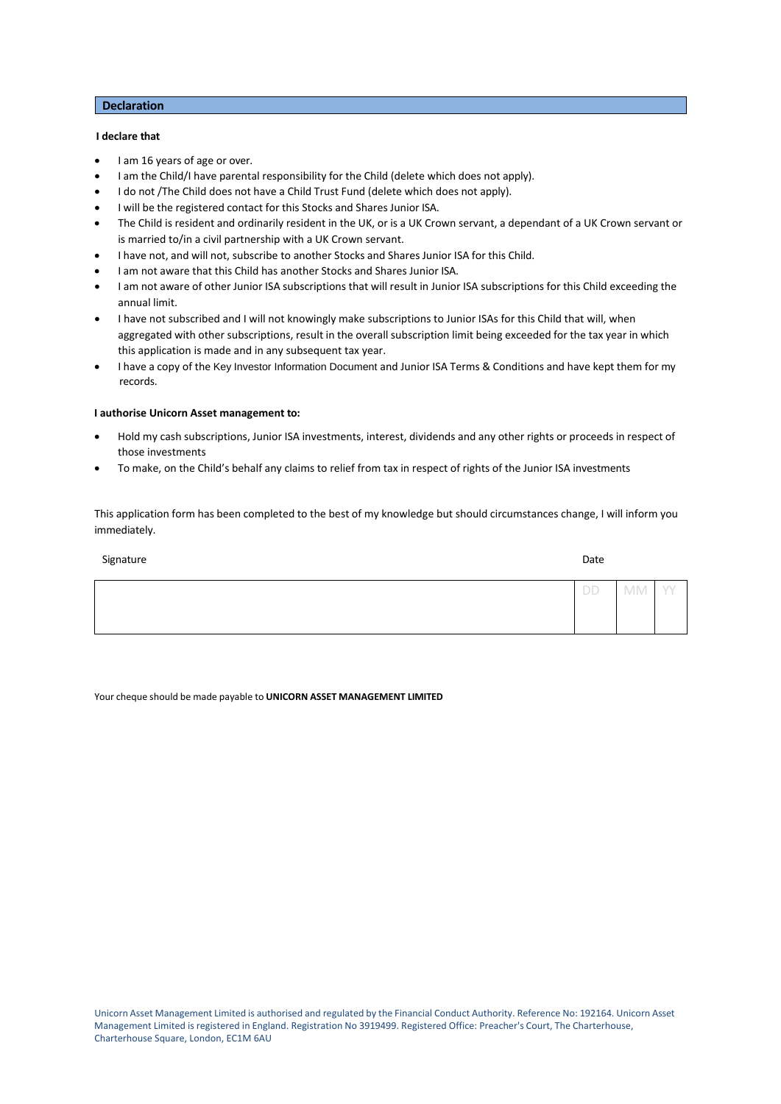#### **Declaration**

## **I declare that**

- I am 16 years of age or over.
- I am the Child/I have parental responsibility for the Child (delete which does not apply).
- I do not /The Child does not have a Child Trust Fund (delete which does not apply).
- I will be the registered contact for this Stocks and Shares Junior ISA.
- The Child is resident and ordinarily resident in the UK, or is a UK Crown servant, a dependant of a UK Crown servant or is married to/in a civil partnership with a UK Crown servant.
- I have not, and will not, subscribe to another Stocks and Shares Junior ISA for this Child.
- I am not aware that this Child has another Stocks and Shares Junior ISA.
- I am not aware of other Junior ISA subscriptions that will result in Junior ISA subscriptions for this Child exceeding the annual limit.
- I have not subscribed and I will not knowingly make subscriptions to Junior ISAs for this Child that will, when aggregated with other subscriptions, result in the overall subscription limit being exceeded for the tax year in which this application is made and in any subsequent tax year.
- I have a copy of the Key Investor Information Document and Junior ISA Terms & Conditions and have kept them for my records.

#### **I authorise Unicorn Asset management to:**

- Hold my cash subscriptions, Junior ISA investments, interest, dividends and any other rights or proceeds in respect of those investments
- To make, on the Child's behalf any claims to relief from tax in respect of rights of the Junior ISA investments

This application form has been completed to the best of my knowledge but should circumstances change, I will inform you immediately.

| Signature | Date |                          |   |
|-----------|------|--------------------------|---|
|           | DD   | $\wedge$<br><b>IVIIV</b> | Л |
|           |      |                          |   |

Your cheque should be made payable to **UNICORN ASSET MANAGEMENT LIMITED**